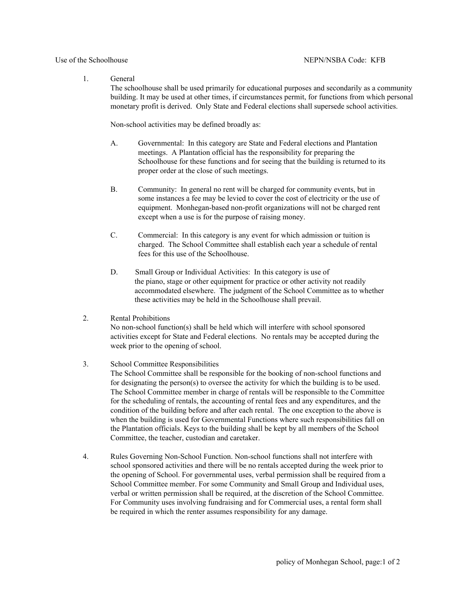## 1. General

The schoolhouse shall be used primarily for educational purposes and secondarily as a community building. It may be used at other times, if circumstances permit, for functions from which personal monetary profit is derived. Only State and Federal elections shall supersede school activities.

Non-school activities may be defined broadly as:

- A. Governmental: In this category are State and Federal elections and Plantation meetings. A Plantation official has the responsibility for preparing the Schoolhouse for these functions and for seeing that the building is returned to its proper order at the close of such meetings.
- B. Community: In general no rent will be charged for community events, but in some instances a fee may be levied to cover the cost of electricity or the use of equipment. Monhegan-based non-profit organizations will not be charged rent except when a use is for the purpose of raising money.
- C. Commercial: In this category is any event for which admission or tuition is charged. The School Committee shall establish each year a schedule of rental fees for this use of the Schoolhouse.
- D. Small Group or Individual Activities: In this category is use of the piano, stage or other equipment for practice or other activity not readily accommodated elsewhere. The judgment of the School Committee as to whether these activities may be held in the Schoolhouse shall prevail.

## 2. Rental Prohibitions

No non-school function(s) shall be held which will interfere with school sponsored activities except for State and Federal elections. No rentals may be accepted during the week prior to the opening of school.

## 3. School Committee Responsibilities

The School Committee shall be responsible for the booking of non-school functions and for designating the person(s) to oversee the activity for which the building is to be used. The School Committee member in charge of rentals will be responsible to the Committee for the scheduling of rentals, the accounting of rental fees and any expenditures, and the condition of the building before and after each rental. The one exception to the above is when the building is used for Governmental Functions where such responsibilities fall on the Plantation officials. Keys to the building shall be kept by all members of the School Committee, the teacher, custodian and caretaker.

4. Rules Governing Non-School Function. Non-school functions shall not interfere with school sponsored activities and there will be no rentals accepted during the week prior to the opening of School. For governmental uses, verbal permission shall be required from a School Committee member. For some Community and Small Group and Individual uses, verbal or written permission shall be required, at the discretion of the School Committee. For Community uses involving fundraising and for Commercial uses, a rental form shall be required in which the renter assumes responsibility for any damage.